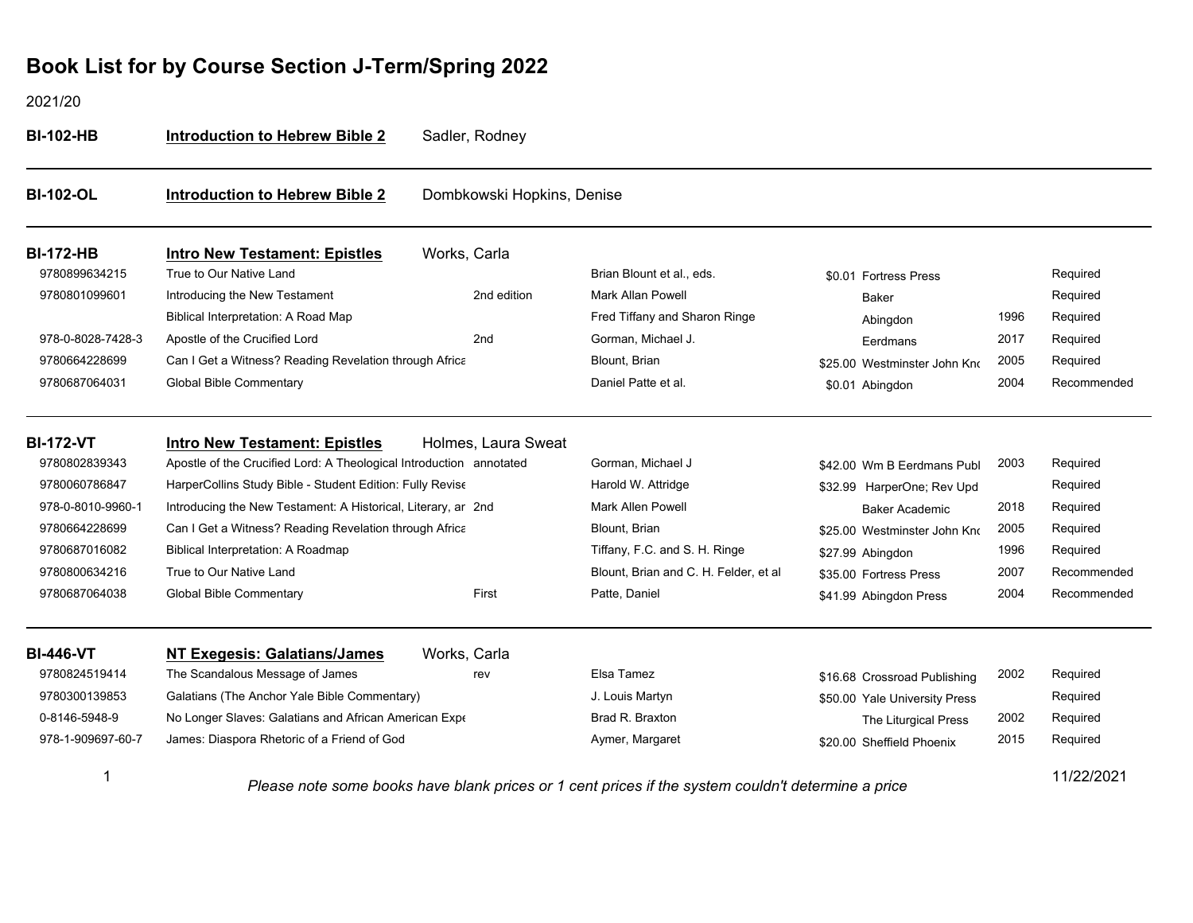| <b>BI-102-HB</b>  | <b>Introduction to Hebrew Bible 2</b>                               | Sadler, Rodney             |                                                                                                    |                               |      |             |
|-------------------|---------------------------------------------------------------------|----------------------------|----------------------------------------------------------------------------------------------------|-------------------------------|------|-------------|
| <b>BI-102-OL</b>  | <b>Introduction to Hebrew Bible 2</b>                               | Dombkowski Hopkins, Denise |                                                                                                    |                               |      |             |
| <b>BI-172-HB</b>  | <b>Intro New Testament: Epistles</b>                                | Works, Carla               |                                                                                                    |                               |      |             |
| 9780899634215     | True to Our Native Land                                             |                            | Brian Blount et al., eds.                                                                          | \$0.01 Fortress Press         |      | Required    |
| 9780801099601     | Introducing the New Testament                                       | 2nd edition                | <b>Mark Allan Powell</b>                                                                           | Baker                         |      | Required    |
|                   | Biblical Interpretation: A Road Map                                 |                            | Fred Tiffany and Sharon Ringe                                                                      | Abingdon                      | 1996 | Required    |
| 978-0-8028-7428-3 | Apostle of the Crucified Lord                                       | 2nd                        | Gorman, Michael J.                                                                                 | Eerdmans                      | 2017 | Required    |
| 9780664228699     | Can I Get a Witness? Reading Revelation through Africa              |                            | Blount, Brian                                                                                      | \$25.00 Westminster John Kno  | 2005 | Required    |
| 9780687064031     | <b>Global Bible Commentary</b>                                      |                            | Daniel Patte et al.                                                                                | \$0.01 Abingdon               | 2004 | Recommended |
| <b>BI-172-VT</b>  | <b>Intro New Testament: Epistles</b>                                | Holmes, Laura Sweat        |                                                                                                    |                               |      |             |
| 9780802839343     | Apostle of the Crucified Lord: A Theological Introduction annotated |                            | Gorman, Michael J                                                                                  | \$42.00 Wm B Eerdmans Publ    | 2003 | Required    |
| 9780060786847     | HarperCollins Study Bible - Student Edition: Fully Revise           |                            | Harold W. Attridge                                                                                 | \$32.99 HarperOne; Rev Upd    |      | Required    |
| 978-0-8010-9960-1 | Introducing the New Testament: A Historical, Literary, ar 2nd       |                            | Mark Allen Powell                                                                                  | <b>Baker Academic</b>         | 2018 | Required    |
| 9780664228699     | Can I Get a Witness? Reading Revelation through Africa              |                            | Blount, Brian                                                                                      | \$25.00 Westminster John Kno  | 2005 | Required    |
| 9780687016082     | Biblical Interpretation: A Roadmap                                  |                            | Tiffany, F.C. and S. H. Ringe                                                                      | \$27.99 Abingdon              | 1996 | Required    |
| 9780800634216     | True to Our Native Land                                             |                            | Blount, Brian and C. H. Felder, et al                                                              | \$35.00 Fortress Press        | 2007 | Recommended |
| 9780687064038     | <b>Global Bible Commentary</b>                                      | First                      | Patte, Daniel                                                                                      | \$41.99 Abingdon Press        | 2004 | Recommended |
| <b>BI-446-VT</b>  | <b>NT Exegesis: Galatians/James</b>                                 | Works, Carla               |                                                                                                    |                               |      |             |
| 9780824519414     | The Scandalous Message of James                                     | rev                        | Elsa Tamez                                                                                         | \$16.68 Crossroad Publishing  | 2002 | Required    |
| 9780300139853     | Galatians (The Anchor Yale Bible Commentary)                        |                            | J. Louis Martyn                                                                                    | \$50.00 Yale University Press |      | Required    |
| 0-8146-5948-9     | No Longer Slaves: Galatians and African American Expe               |                            | Brad R. Braxton                                                                                    | The Liturgical Press          | 2002 | Required    |
| 978-1-909697-60-7 | James: Diaspora Rhetoric of a Friend of God                         |                            | Aymer, Margaret                                                                                    | \$20.00 Sheffield Phoenix     | 2015 | Required    |
| 1                 |                                                                     |                            | Please note some books have blank prices or 1 cent prices if the system couldn't determine a price |                               |      | 11/22/2021  |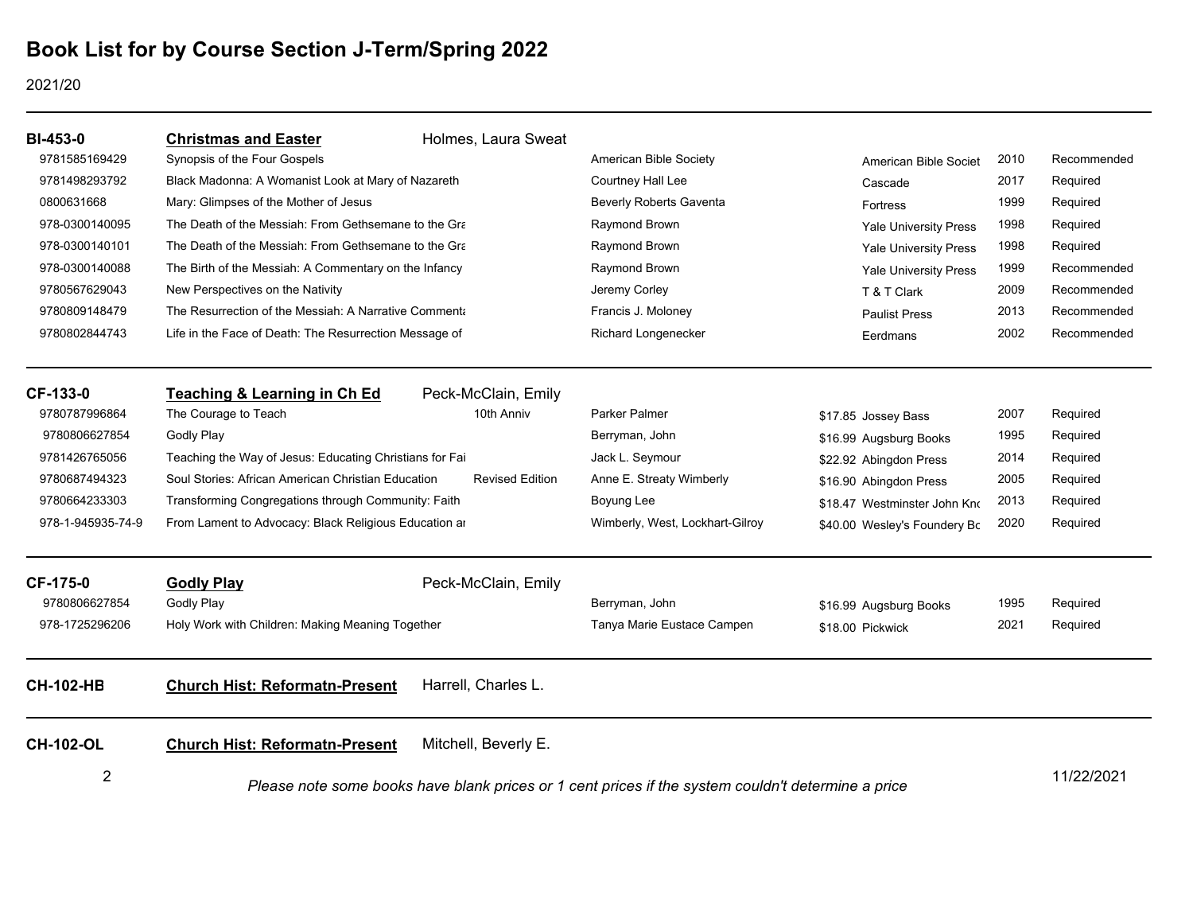| <b>BI-453-0</b>   | <b>Christmas and Easter</b>                                                                        | Holmes, Laura Sweat    |                                 |                              |      |             |
|-------------------|----------------------------------------------------------------------------------------------------|------------------------|---------------------------------|------------------------------|------|-------------|
| 9781585169429     | Synopsis of the Four Gospels                                                                       |                        | American Bible Society          | American Bible Societ        | 2010 | Recommended |
| 9781498293792     | Black Madonna: A Womanist Look at Mary of Nazareth                                                 |                        | Courtney Hall Lee               | Cascade                      | 2017 | Required    |
| 0800631668        | Mary: Glimpses of the Mother of Jesus                                                              |                        | <b>Beverly Roberts Gaventa</b>  | Fortress                     | 1999 | Required    |
| 978-0300140095    | The Death of the Messiah: From Gethsemane to the Gra                                               |                        | Raymond Brown                   | <b>Yale University Press</b> | 1998 | Required    |
| 978-0300140101    | The Death of the Messiah: From Gethsemane to the Gra                                               |                        | Raymond Brown                   | <b>Yale University Press</b> | 1998 | Required    |
| 978-0300140088    | The Birth of the Messiah: A Commentary on the Infancy                                              |                        | Raymond Brown                   | Yale University Press        | 1999 | Recommended |
| 9780567629043     | New Perspectives on the Nativity                                                                   |                        | Jeremy Corley                   | T & T Clark                  | 2009 | Recommended |
| 9780809148479     | The Resurrection of the Messiah: A Narrative Commenta                                              |                        | Francis J. Moloney              | <b>Paulist Press</b>         | 2013 | Recommended |
| 9780802844743     | Life in the Face of Death: The Resurrection Message of                                             |                        | Richard Longenecker             | Eerdmans                     | 2002 | Recommended |
| CF-133-0          | <b>Teaching &amp; Learning in Ch Ed</b>                                                            | Peck-McClain, Emily    |                                 |                              |      |             |
| 9780787996864     | The Courage to Teach                                                                               | 10th Anniv             | <b>Parker Palmer</b>            | \$17.85 Jossey Bass          | 2007 | Required    |
| 9780806627854     | Godly Play                                                                                         |                        | Berryman, John                  | \$16.99 Augsburg Books       | 1995 | Required    |
| 9781426765056     | Teaching the Way of Jesus: Educating Christians for Fai                                            |                        | Jack L. Seymour                 | \$22.92 Abingdon Press       | 2014 | Required    |
| 9780687494323     | Soul Stories: African American Christian Education                                                 | <b>Revised Edition</b> | Anne E. Streaty Wimberly        | \$16.90 Abingdon Press       | 2005 | Required    |
| 9780664233303     | Transforming Congregations through Community: Faith                                                |                        | Boyung Lee                      | \$18.47 Westminster John Kno | 2013 | Required    |
| 978-1-945935-74-9 | From Lament to Advocacy: Black Religious Education are                                             |                        | Wimberly, West, Lockhart-Gilroy | \$40.00 Wesley's Foundery Bc | 2020 | Required    |
| <b>CF-175-0</b>   | <b>Godly Play</b>                                                                                  | Peck-McClain, Emily    |                                 |                              |      |             |
| 9780806627854     | <b>Godly Play</b>                                                                                  |                        | Berryman, John                  | \$16.99 Augsburg Books       | 1995 | Required    |
| 978-1725296206    | Holy Work with Children: Making Meaning Together                                                   |                        | Tanya Marie Eustace Campen      | \$18.00 Pickwick             | 2021 | Required    |
| <b>CH-102-HB</b>  | <b>Church Hist: Reformatn-Present</b>                                                              | Harrell, Charles L.    |                                 |                              |      |             |
| <b>CH-102-OL</b>  | <b>Church Hist: Reformatn-Present</b>                                                              | Mitchell, Beverly E.   |                                 |                              |      |             |
| $\overline{2}$    | Please note some books have blank prices or 1 cent prices if the system couldn't determine a price |                        |                                 |                              |      | 11/22/2021  |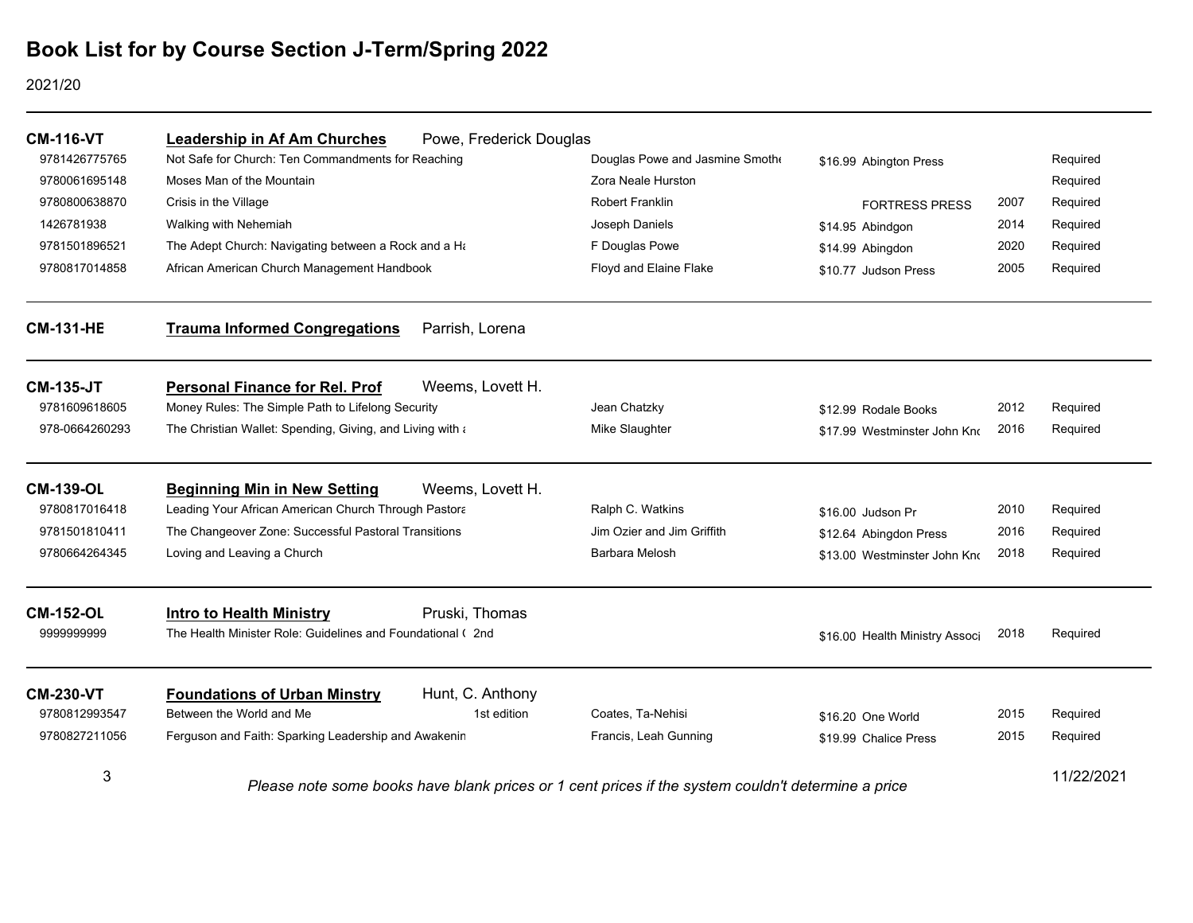| <b>CM-116-VT</b> | <b>Leadership in Af Am Churches</b>                        | Powe, Frederick Douglas |                                                                                                    |                                |      |            |
|------------------|------------------------------------------------------------|-------------------------|----------------------------------------------------------------------------------------------------|--------------------------------|------|------------|
| 9781426775765    | Not Safe for Church: Ten Commandments for Reaching         |                         | Douglas Powe and Jasmine Smothe                                                                    | \$16.99 Abington Press         |      | Required   |
| 9780061695148    | Moses Man of the Mountain                                  |                         | Zora Neale Hurston                                                                                 |                                |      | Required   |
| 9780800638870    | Crisis in the Village                                      |                         | Robert Franklin                                                                                    | <b>FORTRESS PRESS</b>          | 2007 | Required   |
| 1426781938       | Walking with Nehemiah                                      |                         | Joseph Daniels                                                                                     | \$14.95 Abindgon               | 2014 | Required   |
| 9781501896521    | The Adept Church: Navigating between a Rock and a Ha       |                         | F Douglas Powe                                                                                     | \$14.99 Abingdon               | 2020 | Required   |
| 9780817014858    | African American Church Management Handbook                |                         | Floyd and Elaine Flake                                                                             | \$10.77 Judson Press           | 2005 | Required   |
| <b>CM-131-HE</b> | <b>Trauma Informed Congregations</b>                       | Parrish, Lorena         |                                                                                                    |                                |      |            |
| <b>CM-135-JT</b> | <b>Personal Finance for Rel. Prof</b>                      | Weems, Lovett H.        |                                                                                                    |                                |      |            |
| 9781609618605    | Money Rules: The Simple Path to Lifelong Security          |                         | Jean Chatzky                                                                                       | \$12.99 Rodale Books           | 2012 | Required   |
| 978-0664260293   | The Christian Wallet: Spending, Giving, and Living with a  |                         | Mike Slaughter                                                                                     | \$17.99 Westminster John Kno   | 2016 | Required   |
| <b>CM-139-OL</b> | <b>Beginning Min in New Setting</b>                        | Weems, Lovett H.        |                                                                                                    |                                |      |            |
| 9780817016418    | Leading Your African American Church Through Pastora       |                         | Ralph C. Watkins                                                                                   | \$16.00 Judson Pr              | 2010 | Required   |
| 9781501810411    | The Changeover Zone: Successful Pastoral Transitions       |                         | Jim Ozier and Jim Griffith                                                                         | \$12.64 Abingdon Press         | 2016 | Required   |
| 9780664264345    | Loving and Leaving a Church                                |                         | Barbara Melosh                                                                                     | \$13.00 Westminster John Kno   | 2018 | Required   |
| <b>CM-152-OL</b> | <b>Intro to Health Ministry</b>                            | Pruski, Thomas          |                                                                                                    |                                |      |            |
| 9999999999       | The Health Minister Role: Guidelines and Foundational (2nd |                         |                                                                                                    | \$16.00 Health Ministry Associ | 2018 | Required   |
| <b>CM-230-VT</b> | <b>Foundations of Urban Minstry</b>                        | Hunt, C. Anthony        |                                                                                                    |                                |      |            |
| 9780812993547    | Between the World and Me                                   | 1st edition             | Coates, Ta-Nehisi                                                                                  | \$16.20 One World              | 2015 | Required   |
| 9780827211056    | Ferguson and Faith: Sparking Leadership and Awakenin       |                         | Francis, Leah Gunning                                                                              | \$19.99 Chalice Press          | 2015 | Required   |
| 3                |                                                            |                         | Please note some books have blank prices or 1 cent prices if the system couldn't determine a price |                                |      | 11/22/2021 |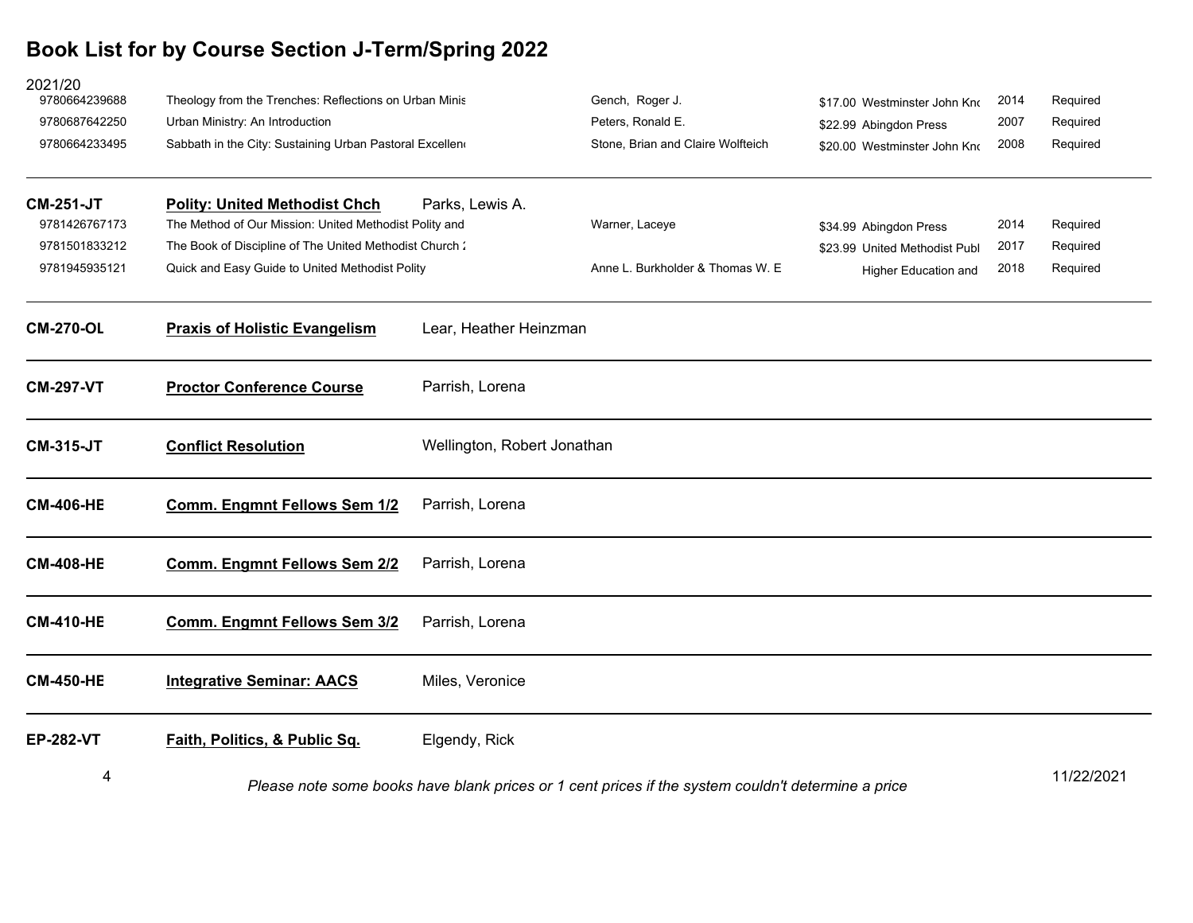| 2021/20<br>9780664239688 | Theology from the Trenches: Reflections on Urban Minis  |                             | Gench, Roger J.                                                                                    | \$17.00 Westminster John Kno  | 2014 | Required   |
|--------------------------|---------------------------------------------------------|-----------------------------|----------------------------------------------------------------------------------------------------|-------------------------------|------|------------|
| 9780687642250            | Urban Ministry: An Introduction                         |                             | Peters, Ronald E.                                                                                  | \$22.99 Abingdon Press        | 2007 | Required   |
| 9780664233495            | Sabbath in the City: Sustaining Urban Pastoral Excellen |                             | Stone, Brian and Claire Wolfteich                                                                  | \$20.00 Westminster John Kno  | 2008 | Required   |
| <b>CM-251-JT</b>         | <b>Polity: United Methodist Chch</b>                    | Parks, Lewis A.             |                                                                                                    |                               |      |            |
| 9781426767173            | The Method of Our Mission: United Methodist Polity and  |                             | Warner, Laceye                                                                                     | \$34.99 Abingdon Press        | 2014 | Required   |
| 9781501833212            | The Book of Discipline of The United Methodist Church:  |                             |                                                                                                    | \$23.99 United Methodist Publ | 2017 | Required   |
| 9781945935121            | Quick and Easy Guide to United Methodist Polity         |                             | Anne L. Burkholder & Thomas W. E.                                                                  | Higher Education and          | 2018 | Required   |
| <b>CM-270-OL</b>         | <b>Praxis of Holistic Evangelism</b>                    | Lear, Heather Heinzman      |                                                                                                    |                               |      |            |
| <b>CM-297-VT</b>         | <b>Proctor Conference Course</b>                        | Parrish, Lorena             |                                                                                                    |                               |      |            |
| <b>CM-315-JT</b>         | <b>Conflict Resolution</b>                              | Wellington, Robert Jonathan |                                                                                                    |                               |      |            |
| <b>CM-406-HE</b>         | <b>Comm. Engmnt Fellows Sem 1/2</b>                     | Parrish, Lorena             |                                                                                                    |                               |      |            |
| <b>CM-408-HE</b>         | <b>Comm. Engmnt Fellows Sem 2/2</b>                     | Parrish, Lorena             |                                                                                                    |                               |      |            |
| <b>CM-410-HE</b>         | <b>Comm. Engmnt Fellows Sem 3/2</b>                     | Parrish, Lorena             |                                                                                                    |                               |      |            |
| <b>CM-450-HE</b>         | <b>Integrative Seminar: AACS</b>                        | Miles, Veronice             |                                                                                                    |                               |      |            |
| <b>EP-282-VT</b>         | Faith, Politics, & Public Sq.                           | Elgendy, Rick               |                                                                                                    |                               |      |            |
| 4                        |                                                         |                             | Please note some books have blank prices or 1 cent prices if the system couldn't determine a price |                               |      | 11/22/2021 |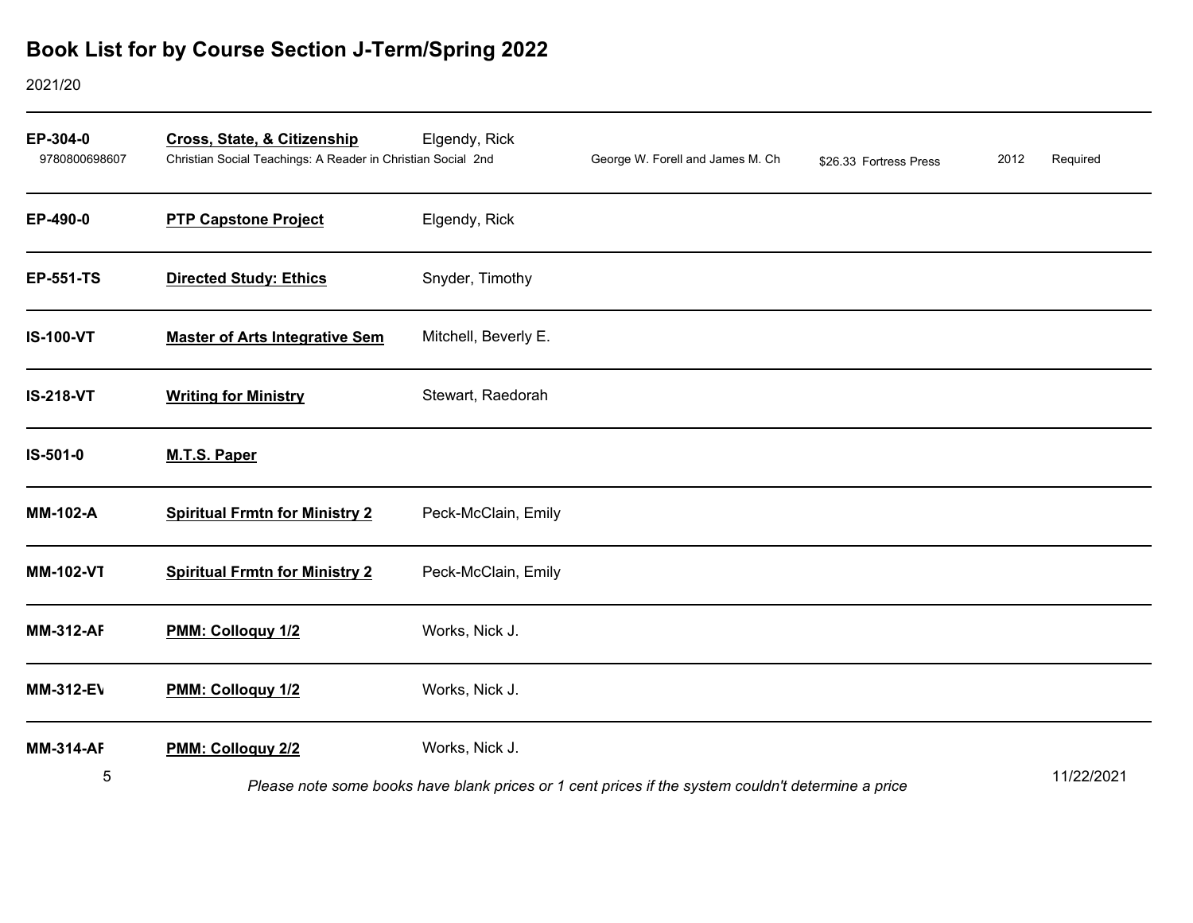| EP-304-0<br>9780800698607 | <b>Cross, State, &amp; Citizenship</b><br>Christian Social Teachings: A Reader in Christian Social 2nd | Elgendy, Rick        | George W. Forell and James M. Ch                                                                   | \$26.33 Fortress Press | 2012 | Required   |
|---------------------------|--------------------------------------------------------------------------------------------------------|----------------------|----------------------------------------------------------------------------------------------------|------------------------|------|------------|
| EP-490-0                  | <b>PTP Capstone Project</b>                                                                            | Elgendy, Rick        |                                                                                                    |                        |      |            |
| <b>EP-551-TS</b>          | <b>Directed Study: Ethics</b>                                                                          | Snyder, Timothy      |                                                                                                    |                        |      |            |
| <b>IS-100-VT</b>          | <b>Master of Arts Integrative Sem</b>                                                                  | Mitchell, Beverly E. |                                                                                                    |                        |      |            |
| <b>IS-218-VT</b>          | <b>Writing for Ministry</b>                                                                            | Stewart, Raedorah    |                                                                                                    |                        |      |            |
| IS-501-0                  | M.T.S. Paper                                                                                           |                      |                                                                                                    |                        |      |            |
| <b>MM-102-A</b>           | <b>Spiritual Frmtn for Ministry 2</b>                                                                  | Peck-McClain, Emily  |                                                                                                    |                        |      |            |
| <b>MM-102-VT</b>          | <b>Spiritual Frmtn for Ministry 2</b>                                                                  | Peck-McClain, Emily  |                                                                                                    |                        |      |            |
| <b>MM-312-AF</b>          | PMM: Colloguy 1/2                                                                                      | Works, Nick J.       |                                                                                                    |                        |      |            |
| <b>MM-312-EV</b>          | PMM: Colloguy 1/2                                                                                      | Works, Nick J.       |                                                                                                    |                        |      |            |
| <b>MM-314-AF</b>          | PMM: Colloguy 2/2                                                                                      | Works, Nick J.       |                                                                                                    |                        |      |            |
| 5                         |                                                                                                        |                      | Please note some books have blank prices or 1 cent prices if the system couldn't determine a price |                        |      | 11/22/2021 |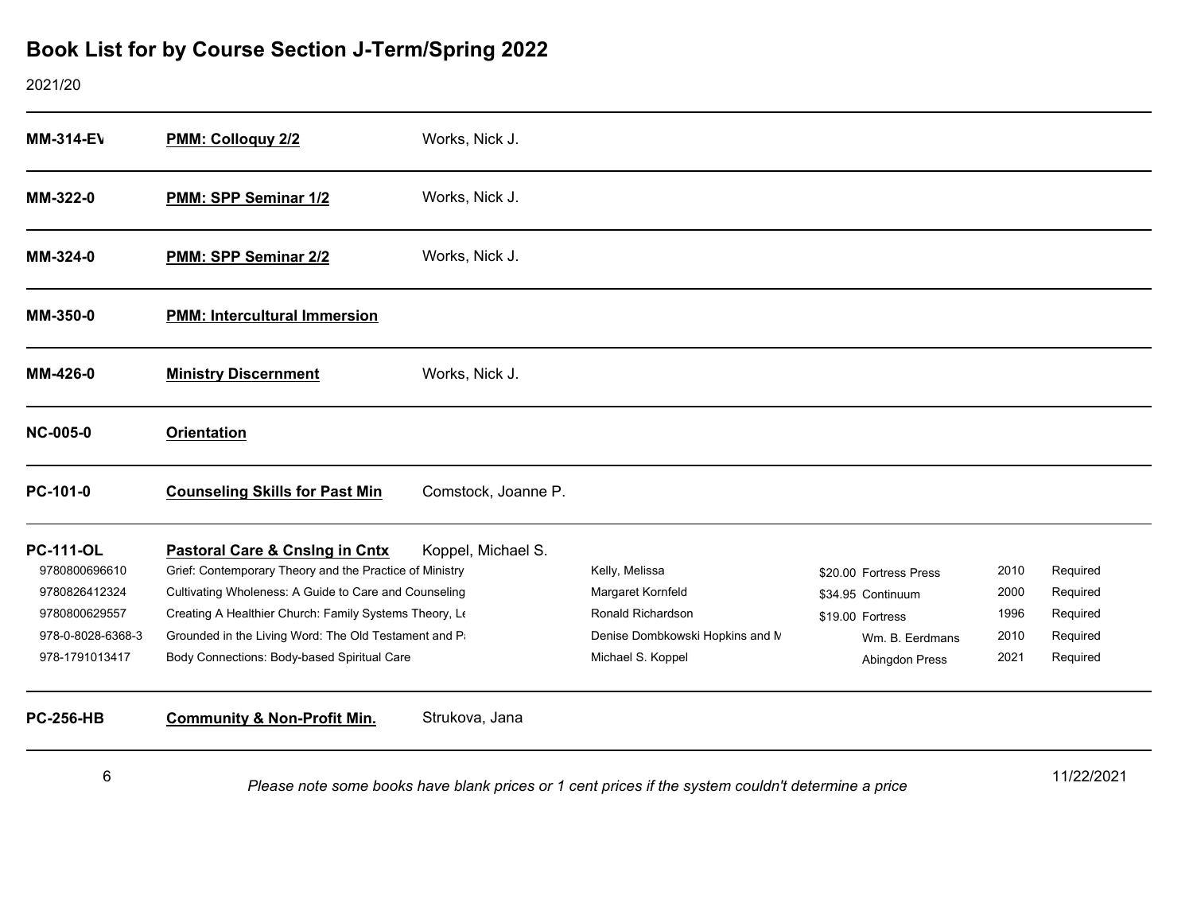| <b>MM-314-EV</b>                                                                                           | PMM: Colloguy 2/2                                                                                                                                                                                                                                                                                                    | Works, Nick J.      |                                                                                                                  |                                                                                                      |                                      |                                                          |
|------------------------------------------------------------------------------------------------------------|----------------------------------------------------------------------------------------------------------------------------------------------------------------------------------------------------------------------------------------------------------------------------------------------------------------------|---------------------|------------------------------------------------------------------------------------------------------------------|------------------------------------------------------------------------------------------------------|--------------------------------------|----------------------------------------------------------|
| MM-322-0                                                                                                   | PMM: SPP Seminar 1/2                                                                                                                                                                                                                                                                                                 | Works, Nick J.      |                                                                                                                  |                                                                                                      |                                      |                                                          |
| MM-324-0                                                                                                   | PMM: SPP Seminar 2/2                                                                                                                                                                                                                                                                                                 | Works, Nick J.      |                                                                                                                  |                                                                                                      |                                      |                                                          |
| MM-350-0                                                                                                   | <b>PMM: Intercultural Immersion</b>                                                                                                                                                                                                                                                                                  |                     |                                                                                                                  |                                                                                                      |                                      |                                                          |
| MM-426-0                                                                                                   | <b>Ministry Discernment</b>                                                                                                                                                                                                                                                                                          | Works, Nick J.      |                                                                                                                  |                                                                                                      |                                      |                                                          |
| <b>NC-005-0</b>                                                                                            | <b>Orientation</b>                                                                                                                                                                                                                                                                                                   |                     |                                                                                                                  |                                                                                                      |                                      |                                                          |
| PC-101-0                                                                                                   | <b>Counseling Skills for Past Min</b>                                                                                                                                                                                                                                                                                | Comstock, Joanne P. |                                                                                                                  |                                                                                                      |                                      |                                                          |
| <b>PC-111-OL</b><br>9780800696610<br>9780826412324<br>9780800629557<br>978-0-8028-6368-3<br>978-1791013417 | Pastoral Care & Cnsing in Cntx<br>Grief: Contemporary Theory and the Practice of Ministry<br>Cultivating Wholeness: A Guide to Care and Counseling<br>Creating A Healthier Church: Family Systems Theory, Le<br>Grounded in the Living Word: The Old Testament and Pa<br>Body Connections: Body-based Spiritual Care | Koppel, Michael S.  | Kelly, Melissa<br>Margaret Kornfeld<br>Ronald Richardson<br>Denise Dombkowski Hopkins and N<br>Michael S. Koppel | \$20.00 Fortress Press<br>\$34.95 Continuum<br>\$19.00 Fortress<br>Wm. B. Eerdmans<br>Abingdon Press | 2010<br>2000<br>1996<br>2010<br>2021 | Required<br>Required<br>Required<br>Required<br>Required |
| <b>PC-256-HB</b>                                                                                           | <b>Community &amp; Non-Profit Min.</b>                                                                                                                                                                                                                                                                               | Strukova, Jana      |                                                                                                                  |                                                                                                      |                                      |                                                          |
| 6                                                                                                          |                                                                                                                                                                                                                                                                                                                      |                     | Please note some books have blank prices or 1 cent prices if the system couldn't determine a price               |                                                                                                      |                                      | 11/22/2021                                               |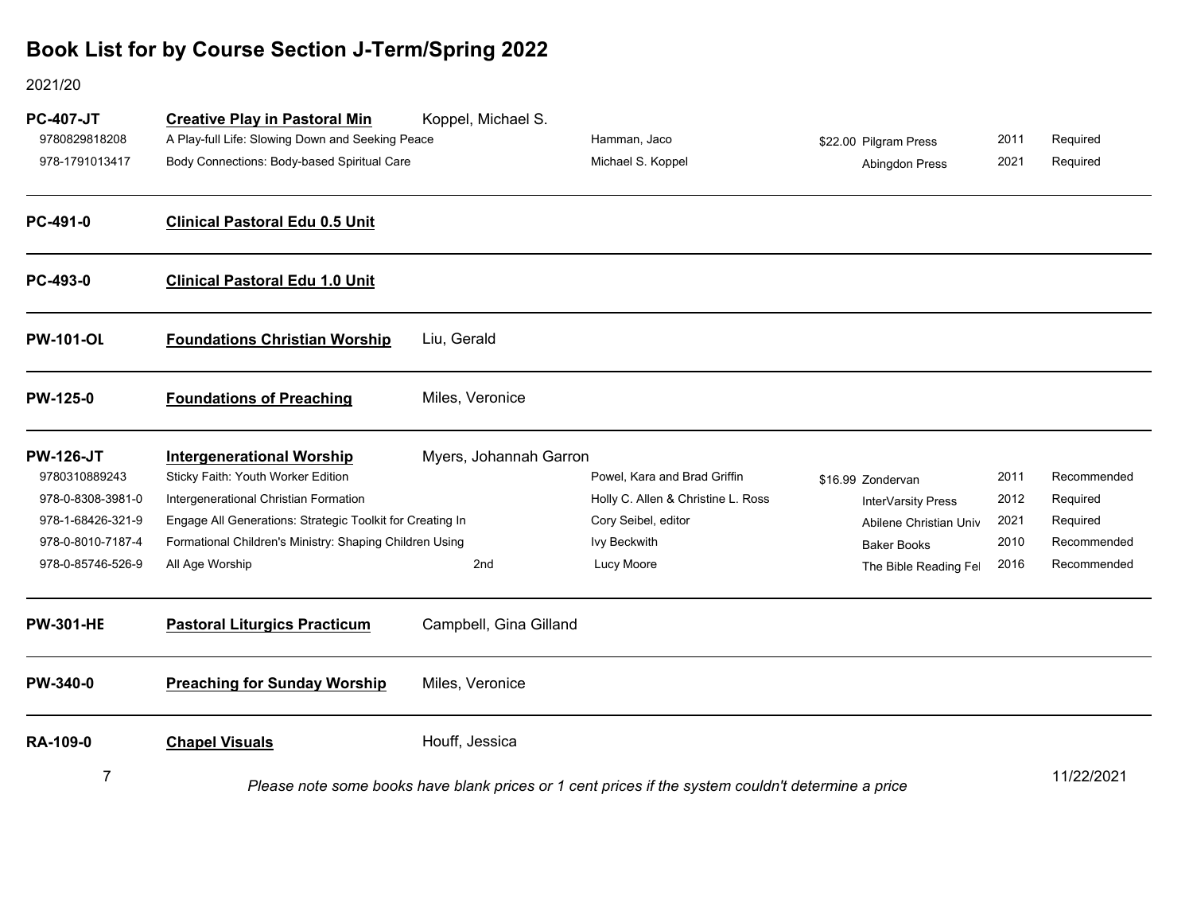| <b>PC-407-JT</b><br>9780829818208<br>978-1791013417 | <b>Creative Play in Pastoral Min</b><br>A Play-full Life: Slowing Down and Seeking Peace<br>Body Connections: Body-based Spiritual Care | Koppel, Michael S.     | Hamman, Jaco<br>Michael S. Koppel                                                                  | \$22.00 Pilgram Press<br>Abingdon Press | 2011<br>2021 | Required<br>Required |
|-----------------------------------------------------|-----------------------------------------------------------------------------------------------------------------------------------------|------------------------|----------------------------------------------------------------------------------------------------|-----------------------------------------|--------------|----------------------|
| PC-491-0                                            | <b>Clinical Pastoral Edu 0.5 Unit</b>                                                                                                   |                        |                                                                                                    |                                         |              |                      |
| PC-493-0                                            | <b>Clinical Pastoral Edu 1.0 Unit</b>                                                                                                   |                        |                                                                                                    |                                         |              |                      |
| <b>PW-101-OL</b>                                    | <b>Foundations Christian Worship</b>                                                                                                    | Liu, Gerald            |                                                                                                    |                                         |              |                      |
| <b>PW-125-0</b>                                     | <b>Foundations of Preaching</b>                                                                                                         | Miles, Veronice        |                                                                                                    |                                         |              |                      |
| <b>PW-126-JT</b>                                    | <b>Intergenerational Worship</b>                                                                                                        | Myers, Johannah Garron |                                                                                                    |                                         |              |                      |
| 9780310889243                                       | Sticky Faith: Youth Worker Edition                                                                                                      |                        | Powel, Kara and Brad Griffin                                                                       | \$16.99 Zondervan                       | 2011         | Recommended          |
| 978-0-8308-3981-0                                   | Intergenerational Christian Formation                                                                                                   |                        | Holly C. Allen & Christine L. Ross                                                                 | InterVarsity Press                      | 2012         | Required             |
| 978-1-68426-321-9                                   | Engage All Generations: Strategic Toolkit for Creating In                                                                               |                        | Cory Seibel, editor                                                                                | Abilene Christian Univ                  | 2021         | Required             |
| 978-0-8010-7187-4                                   | Formational Children's Ministry: Shaping Children Using                                                                                 |                        | Ivy Beckwith                                                                                       | <b>Baker Books</b>                      | 2010         | Recommended          |
| 978-0-85746-526-9                                   | All Age Worship                                                                                                                         | 2nd                    | Lucy Moore                                                                                         | The Bible Reading Fel                   | 2016         | Recommended          |
| <b>PW-301-HE</b>                                    | <b>Pastoral Liturgics Practicum</b>                                                                                                     | Campbell, Gina Gilland |                                                                                                    |                                         |              |                      |
| PW-340-0                                            | <b>Preaching for Sunday Worship</b>                                                                                                     | Miles, Veronice        |                                                                                                    |                                         |              |                      |
| <b>RA-109-0</b>                                     | <b>Chapel Visuals</b>                                                                                                                   | Houff, Jessica         |                                                                                                    |                                         |              |                      |
| 7                                                   |                                                                                                                                         |                        | Please note some books have blank prices or 1 cent prices if the system couldn't determine a price |                                         |              | 11/22/2021           |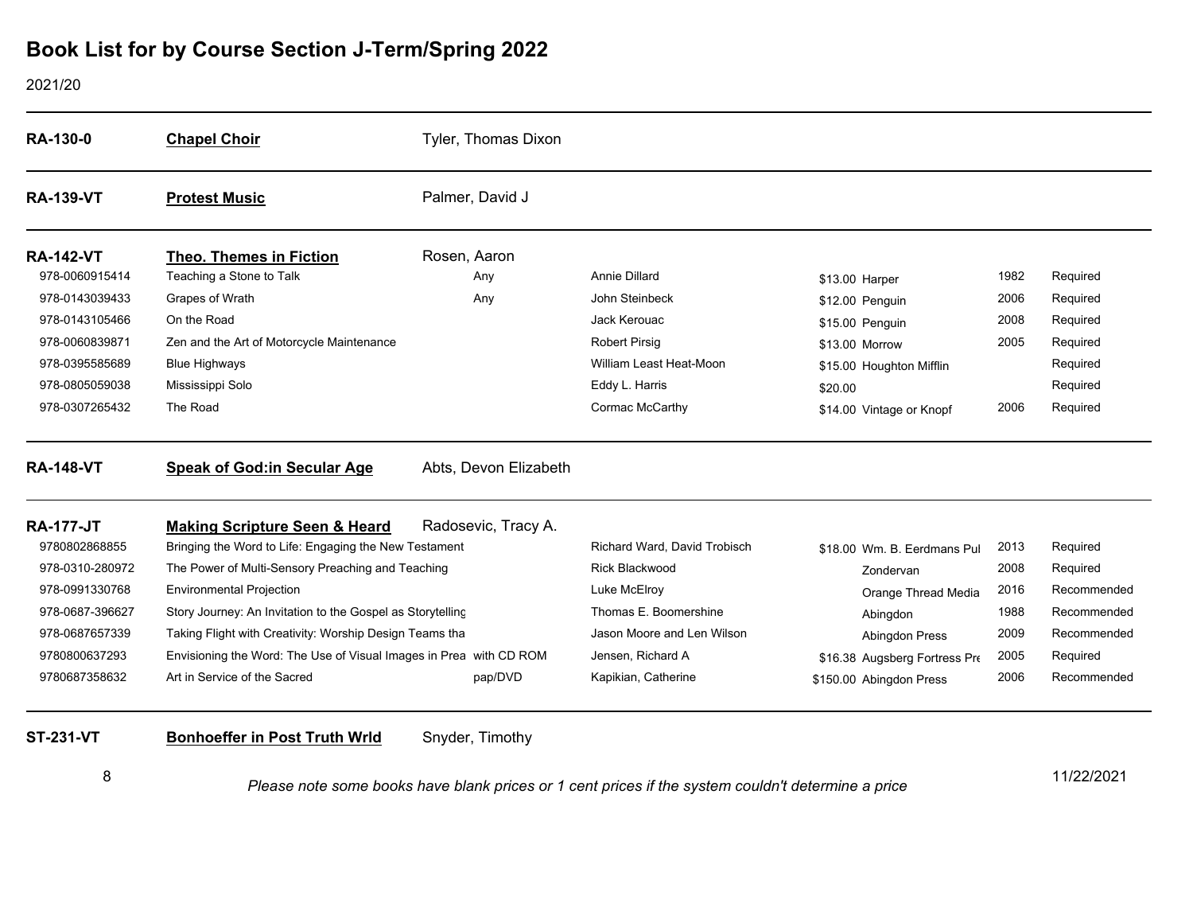### 2021/20

| <b>Chapel Choir</b>                                                | Tyler, Thomas Dixon   |                                                                                                                                                                                                                                     |                               |      |             |
|--------------------------------------------------------------------|-----------------------|-------------------------------------------------------------------------------------------------------------------------------------------------------------------------------------------------------------------------------------|-------------------------------|------|-------------|
| <b>Protest Music</b>                                               | Palmer, David J       |                                                                                                                                                                                                                                     |                               |      |             |
| <b>Theo. Themes in Fiction</b>                                     | Rosen, Aaron          |                                                                                                                                                                                                                                     |                               |      |             |
| Teaching a Stone to Talk                                           | Any                   | <b>Annie Dillard</b>                                                                                                                                                                                                                | \$13.00 Harper                | 1982 | Required    |
| Grapes of Wrath                                                    | Any                   | John Steinbeck                                                                                                                                                                                                                      | \$12.00 Penguin               | 2006 | Required    |
| On the Road                                                        |                       | Jack Kerouac                                                                                                                                                                                                                        | \$15.00 Penguin               | 2008 | Required    |
| Zen and the Art of Motorcycle Maintenance                          |                       | <b>Robert Pirsig</b>                                                                                                                                                                                                                | \$13.00 Morrow                | 2005 | Required    |
| <b>Blue Highways</b>                                               |                       | William Least Heat-Moon                                                                                                                                                                                                             | \$15.00 Houghton Mifflin      |      | Required    |
| Mississippi Solo                                                   |                       | Eddy L. Harris                                                                                                                                                                                                                      | \$20.00                       |      | Required    |
| The Road                                                           |                       | Cormac McCarthy                                                                                                                                                                                                                     | \$14.00 Vintage or Knopf      | 2006 | Required    |
| <b>Speak of God:in Secular Age</b>                                 | Abts, Devon Elizabeth |                                                                                                                                                                                                                                     |                               |      |             |
| <b>Making Scripture Seen &amp; Heard</b>                           | Radosevic, Tracy A.   |                                                                                                                                                                                                                                     |                               |      |             |
|                                                                    |                       | Richard Ward, David Trobisch                                                                                                                                                                                                        | \$18.00 Wm. B. Eerdmans Pul   | 2013 | Required    |
|                                                                    |                       | <b>Rick Blackwood</b>                                                                                                                                                                                                               | Zondervan                     | 2008 | Required    |
| <b>Environmental Projection</b>                                    |                       | Luke McElroy                                                                                                                                                                                                                        | Orange Thread Media           | 2016 | Recommended |
|                                                                    |                       | Thomas E. Boomershine                                                                                                                                                                                                               | Abingdon                      | 1988 | Recommended |
|                                                                    |                       | Jason Moore and Len Wilson                                                                                                                                                                                                          | Abingdon Press                | 2009 | Recommended |
| Envisioning the Word: The Use of Visual Images in Prea with CD ROM |                       | Jensen, Richard A                                                                                                                                                                                                                   | \$16.38 Augsberg Fortress Pre | 2005 | Required    |
|                                                                    |                       |                                                                                                                                                                                                                                     |                               |      |             |
|                                                                    |                       | Bringing the Word to Life: Engaging the New Testament<br>The Power of Multi-Sensory Preaching and Teaching<br>Story Journey: An Invitation to the Gospel as Storytelling<br>Taking Flight with Creativity: Worship Design Teams tha |                               |      |             |

8

11/22/2021 *Please note some books have blank prices or 1 cent prices if the system couldn't determine a price*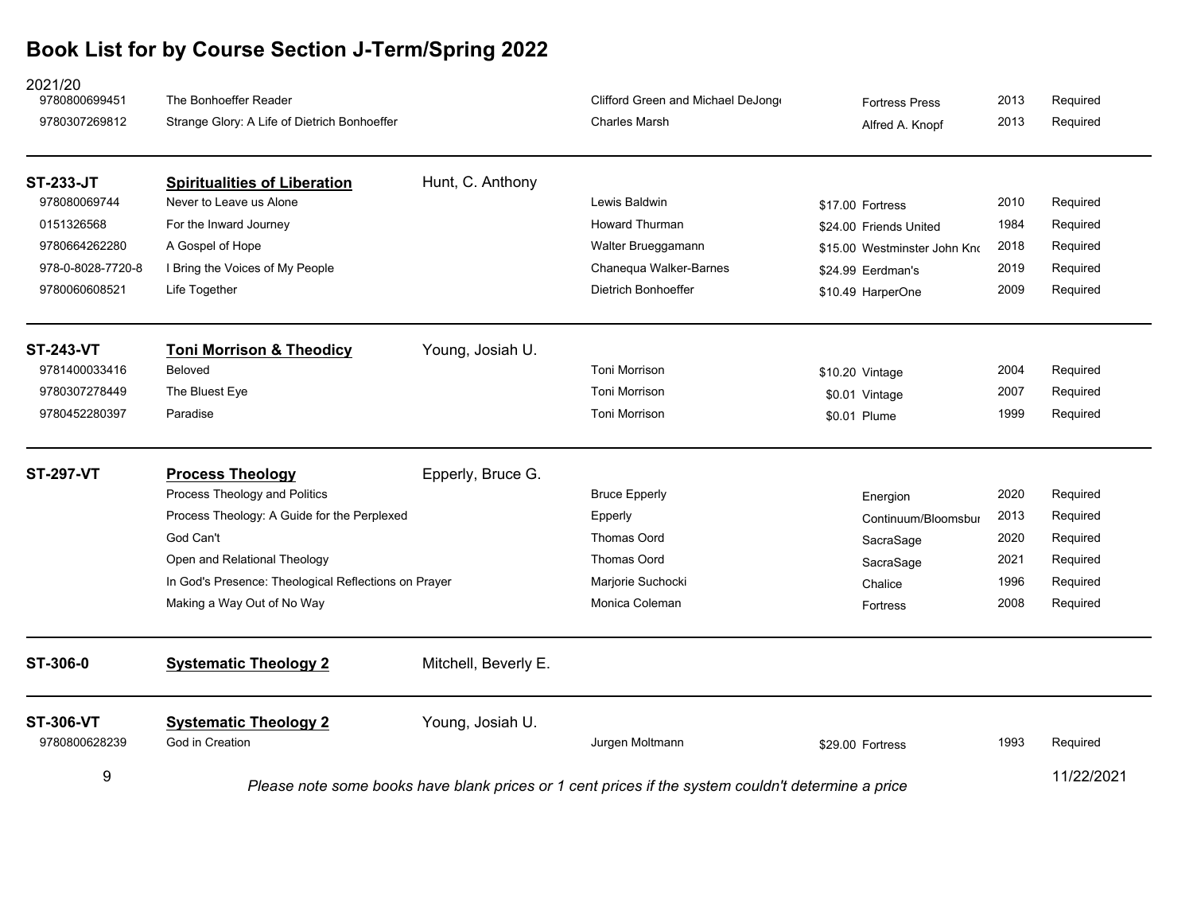| 2021/20<br>9780800699451<br>9780307269812 | The Bonhoeffer Reader<br>Strange Glory: A Life of Dietrich Bonhoeffer |                      | Clifford Green and Michael DeJong<br><b>Charles Marsh</b>                                          | <b>Fortress Press</b><br>Alfred A. Knopf | 2013<br>2013 | Required<br>Required |
|-------------------------------------------|-----------------------------------------------------------------------|----------------------|----------------------------------------------------------------------------------------------------|------------------------------------------|--------------|----------------------|
| <b>ST-233-JT</b>                          | <b>Spiritualities of Liberation</b>                                   | Hunt, C. Anthony     |                                                                                                    |                                          |              |                      |
| 978080069744                              | Never to Leave us Alone                                               |                      | Lewis Baldwin                                                                                      | \$17.00 Fortress                         | 2010         | Required             |
| 0151326568                                | For the Inward Journey                                                |                      | <b>Howard Thurman</b>                                                                              | \$24.00 Friends United                   | 1984         | Required             |
| 9780664262280                             | A Gospel of Hope                                                      |                      | Walter Brueggamann                                                                                 | \$15.00 Westminster John Kno             | 2018         | Required             |
| 978-0-8028-7720-8                         | I Bring the Voices of My People                                       |                      | Chanequa Walker-Barnes                                                                             | \$24.99 Eerdman's                        | 2019         | Required             |
| 9780060608521                             | Life Together                                                         |                      | <b>Dietrich Bonhoeffer</b>                                                                         | \$10.49 HarperOne                        | 2009         | Required             |
| <b>ST-243-VT</b>                          | <b>Toni Morrison &amp; Theodicy</b>                                   | Young, Josiah U.     |                                                                                                    |                                          |              |                      |
| 9781400033416                             | Beloved                                                               |                      | <b>Toni Morrison</b>                                                                               | \$10.20 Vintage                          | 2004         | Required             |
| 9780307278449                             | The Bluest Eye                                                        |                      | <b>Toni Morrison</b>                                                                               | \$0.01 Vintage                           | 2007         | Required             |
| 9780452280397                             | Paradise                                                              |                      | <b>Toni Morrison</b>                                                                               | \$0.01 Plume                             | 1999         | Required             |
| <b>ST-297-VT</b>                          | <b>Process Theology</b>                                               | Epperly, Bruce G.    |                                                                                                    |                                          |              |                      |
|                                           | Process Theology and Politics                                         |                      | <b>Bruce Epperly</b>                                                                               | Energion                                 | 2020         | Required             |
|                                           | Process Theology: A Guide for the Perplexed                           |                      | Epperly                                                                                            | Continuum/Bloomsbur                      | 2013         | Required             |
|                                           | God Can't                                                             |                      | Thomas Oord                                                                                        | SacraSage                                | 2020         | Required             |
|                                           | Open and Relational Theology                                          |                      | Thomas Oord                                                                                        | SacraSage                                | 2021         | Required             |
|                                           | In God's Presence: Theological Reflections on Prayer                  |                      | Marjorie Suchocki                                                                                  | Chalice                                  | 1996         | Required             |
|                                           | Making a Way Out of No Way                                            |                      | Monica Coleman                                                                                     | Fortress                                 | 2008         | Required             |
| ST-306-0                                  | <b>Systematic Theology 2</b>                                          | Mitchell, Beverly E. |                                                                                                    |                                          |              |                      |
| <b>ST-306-VT</b><br>9780800628239         | <b>Systematic Theology 2</b><br>God in Creation                       | Young, Josiah U.     | Jurgen Moltmann                                                                                    | \$29.00 Fortress                         | 1993         | Required             |
| 9                                         |                                                                       |                      | Please note some books have blank prices or 1 cent prices if the system couldn't determine a price |                                          |              | 11/22/2021           |